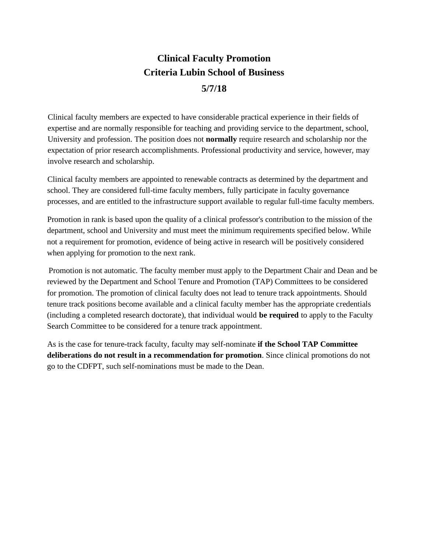## **Clinical Faculty Promotion Criteria Lubin School of Business 5/7/18**

Clinical faculty members are expected to have considerable practical experience in their fields of expertise and are normally responsible for teaching and providing service to the department, school, University and profession. The position does not **normally** require research and scholarship nor the expectation of prior research accomplishments. Professional productivity and service, however, may involve research and scholarship.

Clinical faculty members are appointed to renewable contracts as determined by the department and school. They are considered full-time faculty members, fully participate in faculty governance processes, and are entitled to the infrastructure support available to regular full-time faculty members.

Promotion in rank is based upon the quality of a clinical professor's contribution to the mission of the department, school and University and must meet the minimum requirements specified below. While not a requirement for promotion, evidence of being active in research will be positively considered when applying for promotion to the next rank.

Promotion is not automatic. The faculty member must apply to the Department Chair and Dean and be reviewed by the Department and School Tenure and Promotion (TAP) Committees to be considered for promotion. The promotion of clinical faculty does not lead to tenure track appointments. Should tenure track positions become available and a clinical faculty member has the appropriate credentials (including a completed research doctorate), that individual would **be required** to apply to the Faculty Search Committee to be considered for a tenure track appointment.

As is the case for tenure-track faculty, faculty may self-nominate **if the School TAP Committee deliberations do not result in a recommendation for promotion**. Since clinical promotions do not go to the CDFPT, such self-nominations must be made to the Dean.